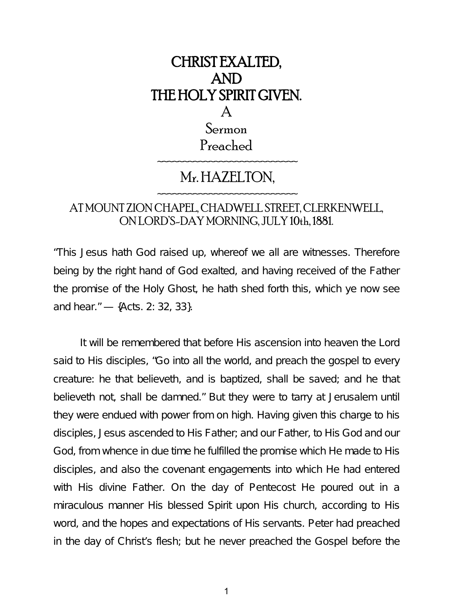

## AT MOUNT ZION CHAPEL, CHADWELL STREET, CLERKENWELL, ON LORD'S-DAY MORNING, JULY 10th, 1881.

"This Jesus hath God raised up, whereof we all are witnesses. Therefore being by the right hand of God exalted, and having received of the Father the promise of the Holy Ghost, he hath shed forth this, which ye now see and hear." — {Acts. 2: 32, 33}.

It will be remembered that before His ascension into heaven the Lord said to His disciples, "Go into all the world, and preach the gospel to every creature: he that believeth, and is baptized, shall be saved; and he that believeth not, shall be damned." But they were to tarry at Jerusalem until they were endued with power from on high. Having given this charge to his disciples, Jesus ascended to His Father; and our Father, to His God and our God, from whence in due time he fulfilled the promise which He made to His disciples, and also the covenant engagements into which He had entered with His divine Father. On the day of Pentecost He poured out in a miraculous manner His blessed Spirit upon His church, according to His word, and the hopes and expectations of His servants. Peter had preached in the day of Christ's flesh; but he never preached the Gospel before the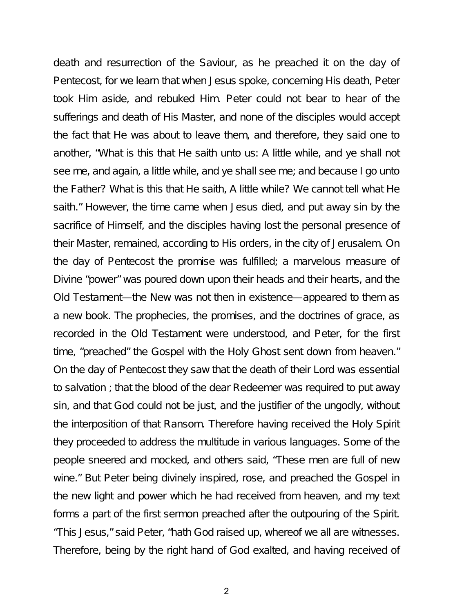death and resurrection of the Saviour, as he preached it on the day of Pentecost, for we learn that when Jesus spoke, concerning His death, Peter took Him aside, and rebuked Him. Peter could not bear to hear of the sufferings and death of His Master, and none of the disciples would accept the fact that He was about to leave them, and therefore, they said one to another, "What is this that He saith unto us: A little while, and ye shall not see me, and again, a little while, and ye shall see me; and because I go unto the Father? What is this that He saith, A little while? We cannot tell what He saith." However, the time came when Jesus died, and put away sin by the sacrifice of Himself, and the disciples having lost the personal presence of their Master, remained, according to His orders, in the city of Jerusalem. On the day of Pentecost the promise was fulfilled; a marvelous measure of Divine "power" was poured down upon their heads and their hearts, and the Old Testament—the New was not then in existence—appeared to them as a new book. The prophecies, the promises, and the doctrines of grace, as recorded in the Old Testament were understood, and Peter, for the first time, "preached" the Gospel with the Holy Ghost sent down from heaven." On the day of Pentecost they saw that the death of their Lord was essential to salvation ; that the blood of the dear Redeemer was required to put away sin, and that God could not be just, and the justifier of the ungodly, without the interposition of that Ransom. Therefore having received the Holy Spirit they proceeded to address the multitude in various languages. Some of the people sneered and mocked, and others said, "These men are full of new wine." But Peter being divinely inspired, rose, and preached the Gospel in the new light and power which he had received from heaven, and my text forms a part of the first sermon preached after the outpouring of the Spirit. "This Jesus," said Peter, "hath God raised up, whereof we all are witnesses. Therefore, being by the right hand of God exalted, and having received of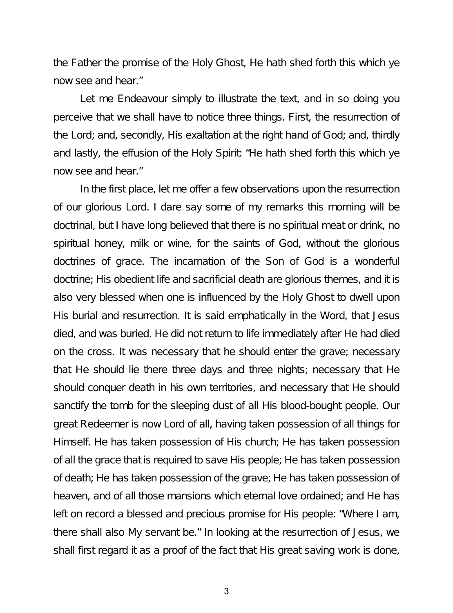the Father the promise of the Holy Ghost, He hath shed forth this which ye now see and hear."

Let me Endeavour simply to illustrate the text, and in so doing you perceive that we shall have to notice three things. First, the resurrection of the Lord; and, secondly, His exaltation at the right hand of God; and, thirdly and lastly, the effusion of the Holy Spirit: "He hath shed forth this which ye now see and hear."

In the first place, let me offer a few observations upon the resurrection of our glorious Lord. I dare say some of my remarks this morning will be doctrinal, but I have long believed that there is no spiritual meat or drink, no spiritual honey, milk or wine, for the saints of God, without the glorious doctrines of grace. The incarnation of the Son of God is a wonderful doctrine; His obedient life and sacrificial death are glorious themes, and it is also very blessed when one is influenced by the Holy Ghost to dwell upon His burial and resurrection. It is said emphatically in the Word, that Jesus died, and was buried. He did not return to life immediately after He had died on the cross. It was necessary that he should enter the grave; necessary that He should lie there three days and three nights; necessary that He should conquer death in his own territories, and necessary that He should sanctify the tomb for the sleeping dust of all His blood-bought people. Our great Redeemer is now Lord of all, having taken possession of all things for Himself. He has taken possession of His church; He has taken possession of all the grace that is required to save His people; He has taken possession of death; He has taken possession of the grave; He has taken possession of heaven, and of all those mansions which eternal love ordained; and He has left on record a blessed and precious promise for His people: "Where I am, there shall also My servant be." In looking at the resurrection of Jesus, we shall first regard it as a proof of the fact that His great saving work is done,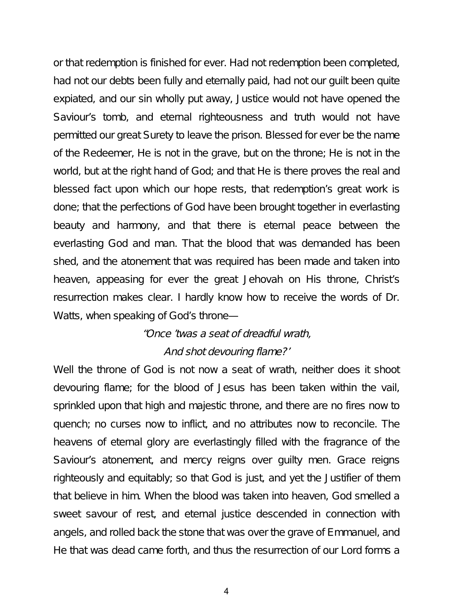or that redemption is finished for ever. Had not redemption been completed, had not our debts been fully and eternally paid, had not our guilt been quite expiated, and our sin wholly put away, Justice would not have opened the Saviour's tomb, and eternal righteousness and truth would not have permitted our great Surety to leave the prison. Blessed for ever be the name of the Redeemer, He is not in the grave, but on the throne; He is not in the world, but at the right hand of God; and that He is there proves the real and blessed fact upon which our hope rests, that redemption's great work is done; that the perfections of God have been brought together in everlasting beauty and harmony, and that there is eternal peace between the everlasting God and man. That the blood that was demanded has been shed, and the atonement that was required has been made and taken into heaven, appeasing for ever the great Jehovah on His throne, Christ's resurrection makes clear. I hardly know how to receive the words of Dr. Watts, when speaking of God's throne—

## "Once 'twas <sup>a</sup> seat of dreadful wrath,

### And shot devouring flame?'

Well the throne of God is not now a seat of wrath, neither does it shoot devouring flame; for the blood of Jesus has been taken within the vail, sprinkled upon that high and majestic throne, and there are no fires now to quench; no curses now to inflict, and no attributes now to reconcile. The heavens of eternal glory are everlastingly filled with the fragrance of the Saviour's atonement, and mercy reigns over guilty men. Grace reigns righteously and equitably; so that God is just, and yet the Justifier of them that believe in him. When the blood was taken into heaven, God smelled a sweet savour of rest, and eternal justice descended in connection with angels, and rolled back the stone that was over the grave of Emmanuel, and He that was dead came forth, and thus the resurrection of our Lord forms a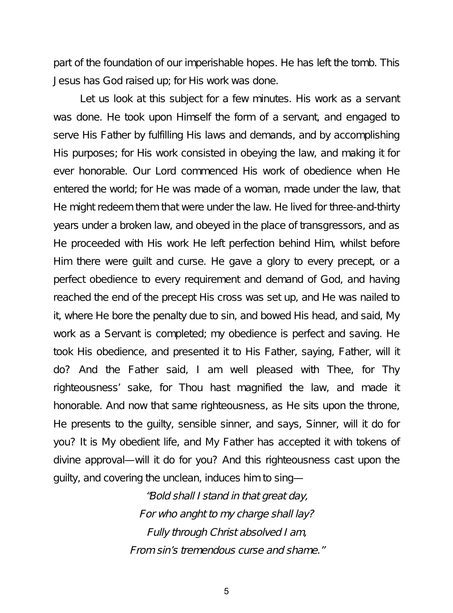part of the foundation of our imperishable hopes. He has left the tomb. This Jesus has God raised up; for His work was done.

Let us look at this subject for a few minutes. His work as a servant was done. He took upon Himself the form of a servant, and engaged to serve His Father by fulfilling His laws and demands, and by accomplishing His purposes; for His work consisted in obeying the law, and making it for ever honorable. Our Lord commenced His work of obedience when He entered the world; for He was made of a woman, made under the law, that He might redeem them that were under the law. He lived for three-and-thirty years under a broken law, and obeyed in the place of transgressors, and as He proceeded with His work He left perfection behind Him, whilst before Him there were guilt and curse. He gave a glory to every precept, or a perfect obedience to every requirement and demand of God, and having reached the end of the precept His cross was set up, and He was nailed to it, where He bore the penalty due to sin, and bowed His head, and said, My work as a Servant is completed; my obedience is perfect and saving. He took His obedience, and presented it to His Father, saying, Father, will it do? And the Father said, I am well pleased with Thee, for Thy righteousness' sake, for Thou hast magnified the law, and made it honorable. And now that same righteousness, as He sits upon the throne, He presents to the guilty, sensible sinner, and says, Sinner, will it do for you? It is My obedient life, and My Father has accepted it with tokens of divine approval—will it do for you? And this righteousness cast upon the guilty, and covering the unclean, induces him to sing—

> "Bold shall <sup>I</sup> stand in that great day, For who anght to my charge shall lay? Fully through Christ absolved <sup>I</sup> am, From sin's tremendous curse and shame."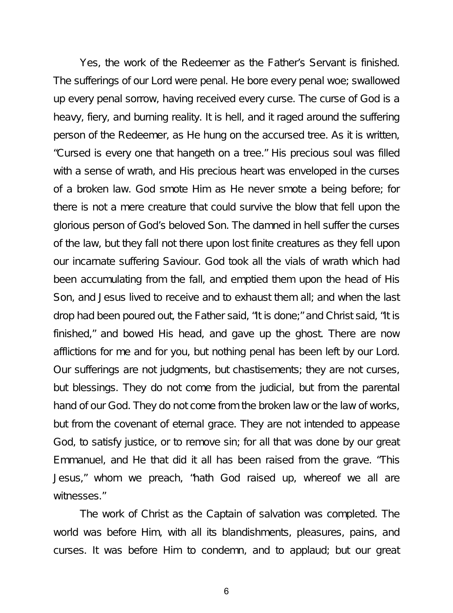Yes, the work of the Redeemer as the Father's Servant is finished. The sufferings of our Lord were penal. He bore every penal woe; swallowed up every penal sorrow, having received every curse. The curse of God is a heavy, fiery, and burning reality. It is hell, and it raged around the suffering person of the Redeemer, as He hung on the accursed tree. As it is written, "Cursed is every one that hangeth on a tree." His precious soul was filled with a sense of wrath, and His precious heart was enveloped in the curses of a broken law. God smote Him as He never smote a being before; for there is not a mere creature that could survive the blow that fell upon the glorious person of God's beloved Son. The damned in hell suffer the curses of the law, but they fall not there upon lost finite creatures as they fell upon our incarnate suffering Saviour. God took all the vials of wrath which had been accumulating from the fall, and emptied them upon the head of His Son, and Jesus lived to receive and to exhaust them all; and when the last drop had been poured out, the Father said, "It is done;" and Christ said, "It is finished," and bowed His head, and gave up the ghost. There are now afflictions for me and for you, but nothing penal has been left by our Lord. Our sufferings are not judgments, but chastisements; they are not curses, but blessings. They do not come from the judicial, but from the parental hand of our God. They do not come from the broken law or the law of works, but from the covenant of eternal grace. They are not intended to appease God, to satisfy justice, or to remove sin; for all that was done by our great Emmanuel, and He that did it all has been raised from the grave. "This Jesus," whom we preach, "hath God raised up, whereof we all are witnesses."

The work of Christ as the Captain of salvation was completed. The world was before Him, with all its blandishments, pleasures, pains, and curses. It was before Him to condemn, and to applaud; but our great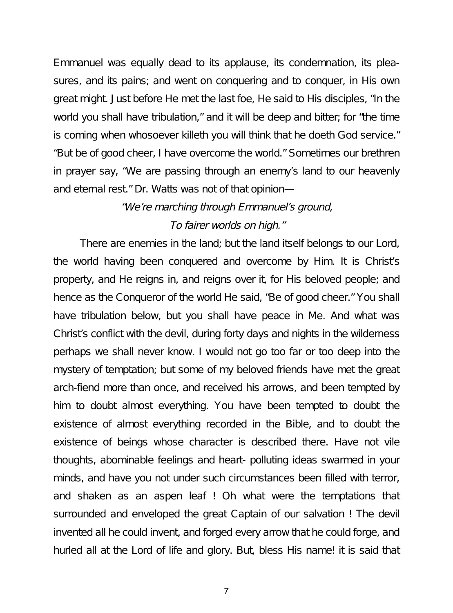Emmanuel was equally dead to its applause, its condemnation, its pleasures, and its pains; and went on conquering and to conquer, in His own great might. Just before He met the last foe, He said to His disciples, "In the world you shall have tribulation," and it will be deep and bitter; for "the time is coming when whosoever killeth you will think that he doeth God service." "But be of good cheer, I have overcome the world." Sometimes our brethren in prayer say, "We are passing through an enemy's land to our heavenly and eternal rest." Dr. Watts was not of that opinion—

# "We're marching through Emmanuel's ground, To fairer worlds on high."

There are enemies in the land; but the land itself belongs to our Lord, the world having been conquered and overcome by Him. It is Christ's property, and He reigns in, and reigns over it, for His beloved people; and hence as the Conqueror of the world He said, "Be of good cheer." You shall have tribulation below, but you shall have peace in Me. And what was Christ's conflict with the devil, during forty days and nights in the wilderness perhaps we shall never know. I would not go too far or too deep into the mystery of temptation; but some of my beloved friends have met the great arch-fiend more than once, and received his arrows, and been tempted by him to doubt almost everything. You have been tempted to doubt the existence of almost everything recorded in the Bible, and to doubt the existence of beings whose character is described there. Have not vile thoughts, abominable feelings and heart- polluting ideas swarmed in your minds, and have you not under such circumstances been filled with terror, and shaken as an aspen leaf ! Oh what were the temptations that surrounded and enveloped the great Captain of our salvation ! The devil invented all he could invent, and forged every arrow that he could forge, and hurled all at the Lord of life and glory. But, bless His name! it is said that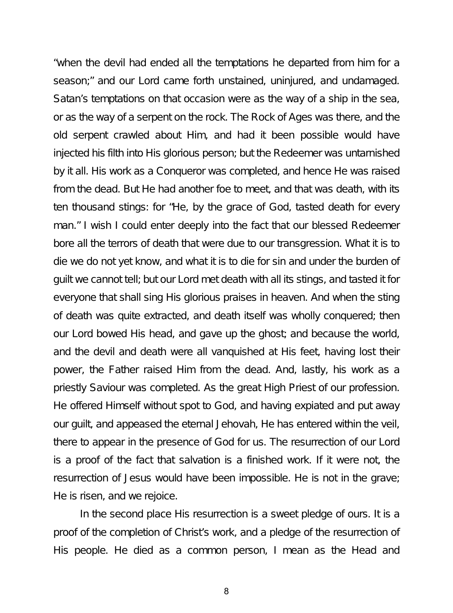"when the devil had ended all the temptations he departed from him for a season;" and our Lord came forth unstained, uninjured, and undamaged. Satan's temptations on that occasion were as the way of a ship in the sea, or as the way of a serpent on the rock. The Rock of Ages was there, and the old serpent crawled about Him, and had it been possible would have injected his filth into His glorious person; but the Redeemer was untarnished by it all. His work as a Conqueror was completed, and hence He was raised from the dead. But He had another foe to meet, and that was death, with its ten thousand stings: for "He, by the grace of God, tasted death for every man." I wish I could enter deeply into the fact that our blessed Redeemer bore all the terrors of death that were due to our transgression. What it is to die we do not yet know, and what it is to die for sin and under the burden of guilt we cannot tell; but our Lord met death with all its stings, and tasted it for everyone that shall sing His glorious praises in heaven. And when the sting of death was quite extracted, and death itself was wholly conquered; then our Lord bowed His head, and gave up the ghost; and because the world, and the devil and death were all vanquished at His feet, having lost their power, the Father raised Him from the dead. And, lastly, his work as a priestly Saviour was completed. As the great High Priest of our profession. He offered Himself without spot to God, and having expiated and put away our guilt, and appeased the eternal Jehovah, He has entered within the veil, there to appear in the presence of God for us. The resurrection of our Lord is a proof of the fact that salvation is a finished work. If it were not, the resurrection of Jesus would have been impossible. He is not in the grave; He is risen, and we rejoice.

In the second place His resurrection is a sweet pledge of ours. It is a proof of the completion of Christ's work, and a pledge of the resurrection of His people. He died as a common person, I mean as the Head and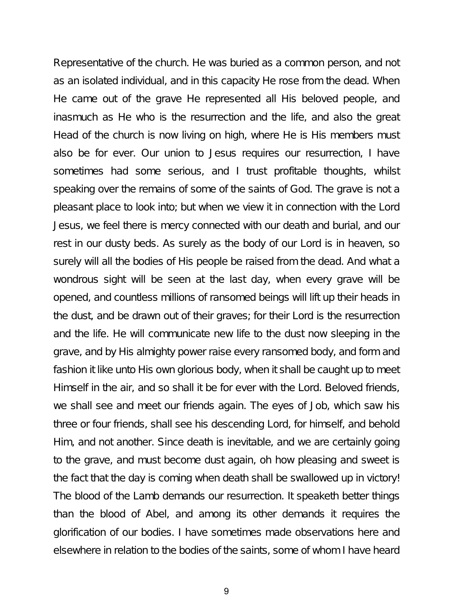Representative of the church. He was buried as a common person, and not as an isolated individual, and in this capacity He rose from the dead. When He came out of the grave He represented all His beloved people, and inasmuch as He who is the resurrection and the life, and also the great Head of the church is now living on high, where He is His members must also be for ever. Our union to Jesus requires our resurrection, I have sometimes had some serious, and I trust profitable thoughts, whilst speaking over the remains of some of the saints of God. The grave is not a pleasant place to look into; but when we view it in connection with the Lord Jesus, we feel there is mercy connected with our death and burial, and our rest in our dusty beds. As surely as the body of our Lord is in heaven, so surely will all the bodies of His people be raised from the dead. And what a wondrous sight will be seen at the last day, when every grave will be opened, and countless millions of ransomed beings will lift up their heads in the dust, and be drawn out of their graves; for their Lord is the resurrection and the life. He will communicate new life to the dust now sleeping in the grave, and by His almighty power raise every ransomed body, and form and fashion it like unto His own glorious body, when it shall be caught up to meet Himself in the air, and so shall it be for ever with the Lord. Beloved friends, we shall see and meet our friends again. The eyes of Job, which saw his three or four friends, shall see his descending Lord, for himself, and behold Him, and not another. Since death is inevitable, and we are certainly going to the grave, and must become dust again, oh how pleasing and sweet is the fact that the day is coming when death shall be swallowed up in victory! The blood of the Lamb demands our resurrection. It speaketh better things than the blood of Abel, and among its other demands it requires the glorification of our bodies. I have sometimes made observations here and elsewhere in relation to the bodies of the saints, some of whom I have heard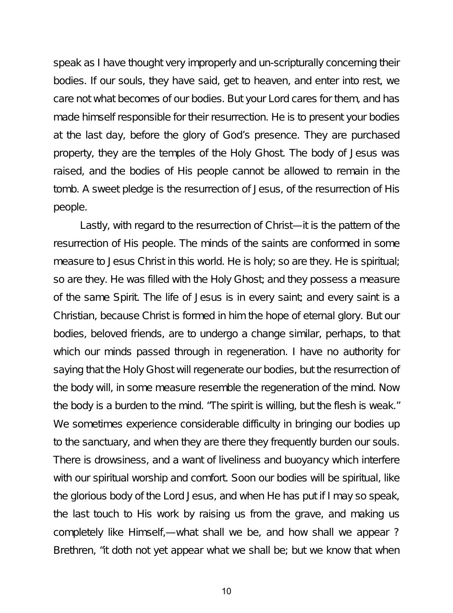speak as I have thought very improperly and un-scripturally concerning their bodies. If our souls, they have said, get to heaven, and enter into rest, we care not what becomes of our bodies. But your Lord cares for them, and has made himself responsible for their resurrection. He is to present your bodies at the last day, before the glory of God's presence. They are purchased property, they are the temples of the Holy Ghost. The body of Jesus was raised, and the bodies of His people cannot be allowed to remain in the tomb. A sweet pledge is the resurrection of Jesus, of the resurrection of His people.

Lastly, with regard to the resurrection of Christ—it is the pattern of the resurrection of His people. The minds of the saints are conformed in some measure to Jesus Christ in this world. He is holy; so are they. He is spiritual; so are they. He was filled with the Holy Ghost; and they possess a measure of the same Spirit. The life of Jesus is in every saint; and every saint is a Christian, because Christ is formed in him the hope of eternal glory. But our bodies, beloved friends, are to undergo a change similar, perhaps, to that which our minds passed through in regeneration. I have no authority for saying that the Holy Ghost will regenerate our bodies, but the resurrection of the body will, in some measure resemble the regeneration of the mind. Now the body is a burden to the mind. "The spirit is willing, but the flesh is weak." We sometimes experience considerable difficulty in bringing our bodies up to the sanctuary, and when they are there they frequently burden our souls. There is drowsiness, and a want of liveliness and buoyancy which interfere with our spiritual worship and comfort. Soon our bodies will be spiritual, like the glorious body of the Lord Jesus, and when He has put if I may so speak, the last touch to His work by raising us from the grave, and making us completely like Himself,—what shall we be, and how shall we appear ? Brethren, "it doth not yet appear what we shall be; but we know that when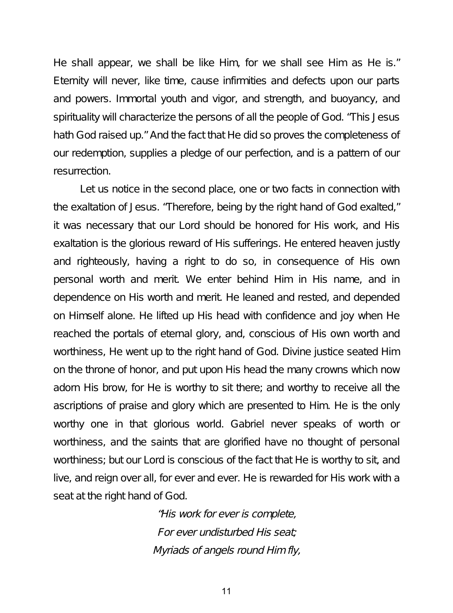He shall appear, we shall be like Him, for we shall see Him as He is." Eternity will never, like time, cause infirmities and defects upon our parts and powers. Immortal youth and vigor, and strength, and buoyancy, and spirituality will characterize the persons of all the people of God. "This Jesus hath God raised up." And the fact that He did so proves the completeness of our redemption, supplies a pledge of our perfection, and is a pattern of our resurrection.

Let us notice in the second place, one or two facts in connection with the exaltation of Jesus. "Therefore, being by the right hand of God exalted," it was necessary that our Lord should be honored for His work, and His exaltation is the glorious reward of His sufferings. He entered heaven justly and righteously, having a right to do so, in consequence of His own personal worth and merit. We enter behind Him in His name, and in dependence on His worth and merit. He leaned and rested, and depended on Himself alone. He lifted up His head with confidence and joy when He reached the portals of eternal glory, and, conscious of His own worth and worthiness, He went up to the right hand of God. Divine justice seated Him on the throne of honor, and put upon His head the many crowns which now adorn His brow, for He is worthy to sit there; and worthy to receive all the ascriptions of praise and glory which are presented to Him. He is the only worthy one in that glorious world. Gabriel never speaks of worth or worthiness, and the saints that are glorified have no thought of personal worthiness; but our Lord is conscious of the fact that He is worthy to sit, and live, and reign over all, for ever and ever. He is rewarded for His work with a seat at the right hand of God.

> "His work for ever is complete, For ever undisturbed His seat; Myriads of angels round Him fly,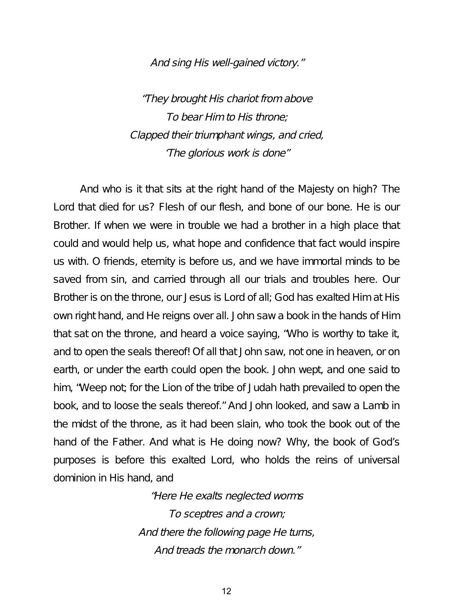#### And sing His well-gained victory."

"They brought His chariot from above To bear Him to His throne; Clapped their triumphant wings, and cried, 'The glorious work is done"

And who is it that sits at the right hand of the Majesty on high? The Lord that died for us? Flesh of our flesh, and bone of our bone. He is our Brother. If when we were in trouble we had a brother in a high place that could and would help us, what hope and confidence that fact would inspire us with. O friends, eternity is before us, and we have immortal minds to be saved from sin, and carried through all our trials and troubles here. Our Brother is on the throne, our Jesus is Lord of all; God has exalted Him at His own right hand, and He reigns over all. John saw a book in the hands of Him that sat on the throne, and heard a voice saying, "Who is worthy to take it, and to open the seals thereof! Of all that John saw, not one in heaven, or on earth, or under the earth could open the book. John wept, and one said to him, "Weep not; for the Lion of the tribe of Judah hath prevailed to open the book, and to loose the seals thereof." And John looked, and saw a Lamb in the midst of the throne, as it had been slain, who took the book out of the hand of the Father. And what is He doing now? Why, the book of God's purposes is before this exalted Lord, who holds the reins of universal dominion in His hand, and

> "Here He exalts neglected worms To sceptres and <sup>a</sup> crown; And there the following page He turns, And treads the monarch down."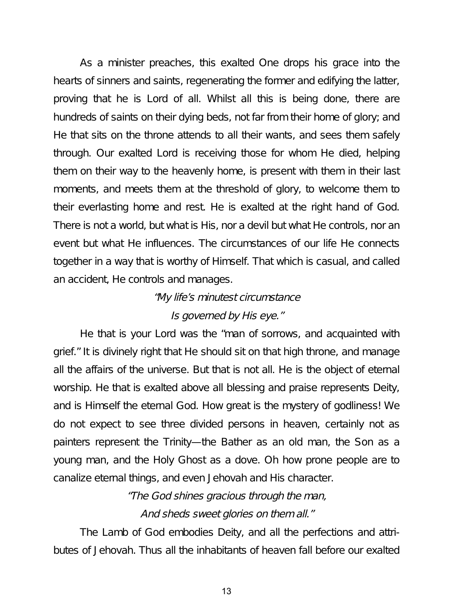As a minister preaches, this exalted One drops his grace into the hearts of sinners and saints, regenerating the former and edifying the latter, proving that he is Lord of all. Whilst all this is being done, there are hundreds of saints on their dying beds, not far from their home of glory; and He that sits on the throne attends to all their wants, and sees them safely through. Our exalted Lord is receiving those for whom He died, helping them on their way to the heavenly home, is present with them in their last moments, and meets them at the threshold of glory, to welcome them to their everlasting home and rest. He is exalted at the right hand of God. There is not a world, but what is His, nor a devil but what He controls, nor an event but what He influences. The circumstances of our life He connects together in a way that is worthy of Himself. That which is casual, and called an accident, He controls and manages.

### "My life's minutest circumstance

### Is governed by His eye."

He that is your Lord was the "man of sorrows, and acquainted with grief." It is divinely right that He should sit on that high throne, and manage all the affairs of the universe. But that is not all. He is the object of eternal worship. He that is exalted above all blessing and praise represents Deity, and is Himself the eternal God. How great is the mystery of godliness! We do not expect to see three divided persons in heaven, certainly not as painters represent the Trinity—the Bather as an old man, the Son as a young man, and the Holy Ghost as a dove. Oh how prone people are to canalize eternal things, and even Jehovah and His character.

> "The God shines gracious through the man, And sheds sweet glories on them all."

The Lamb of God embodies Deity, and all the perfections and attributes of Jehovah. Thus all the inhabitants of heaven fall before our exalted